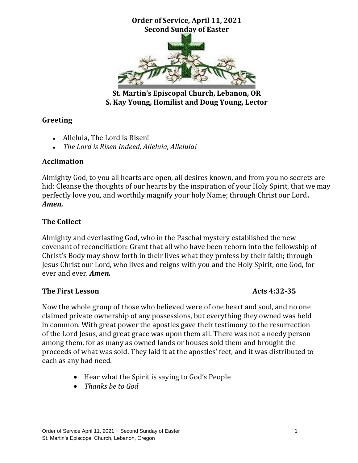

**St. Martin's Episcopal Church, Lebanon, OR S. Kay Young, Homilist and Doug Young, Lector**

## **Greeting**

- Alleluia, The Lord is Risen!
- *The Lord is Risen Indeed, Alleluia, Alleluia!*

# **Acclimation**

Almighty God, to you all hearts are open, all desires known, and from you no secrets are hid: Cleanse the thoughts of our hearts by the inspiration of your Holy Spirit, that we may perfectly love you, and worthily magnify your holy Name; through Christ our Lord**.**  *Amen.*

# **The Collect**

Almighty and everlasting God, who in the Paschal mystery established the new covenant of reconciliation: Grant that all who have been reborn into the fellowship of Christ's Body may show forth in their lives what they profess by their faith; through Jesus Christ our Lord, who lives and reigns with you and the Holy Spirit, one God, for ever and ever. *Amen.*

# **The First Lesson Acts 4:32-35**

Now the whole group of those who believed were of one heart and soul, and no one claimed private ownership of any possessions, but everything they owned was held in common. With great power the apostles gave their testimony to the resurrection of the Lord Jesus, and great grace was upon them all. There was not a needy person among them, for as many as owned lands or houses sold them and brought the proceeds of what was sold. They laid it at the apostles' feet, and it was distributed to each as any had need.

- Hear what the Spirit is saying to God's People
- *Thanks be to God*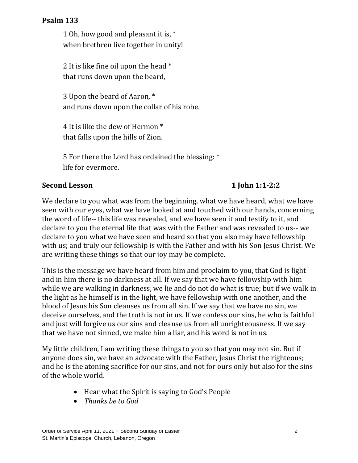### **Psalm 133**

1 Oh, how good and pleasant it is, \* when brethren live together in unity!

2 It is like fine oil upon the head \* that runs down upon the beard,

3 Upon the beard of Aaron, \* and runs down upon the collar of his robe.

4 It is like the dew of Hermon \* that falls upon the hills of Zion.

5 For there the Lord has ordained the blessing: \* life for evermore.

## **Second Lesson** 1 John 1:1-2:2

We declare to you what was from the beginning, what we have heard, what we have seen with our eyes, what we have looked at and touched with our hands, concerning the word of life-- this life was revealed, and we have seen it and testify to it, and declare to you the eternal life that was with the Father and was revealed to us-- we declare to you what we have seen and heard so that you also may have fellowship with us; and truly our fellowship is with the Father and with his Son Jesus Christ. We are writing these things so that our joy may be complete.

This is the message we have heard from him and proclaim to you, that God is light and in him there is no darkness at all. If we say that we have fellowship with him while we are walking in darkness, we lie and do not do what is true; but if we walk in the light as he himself is in the light, we have fellowship with one another, and the blood of Jesus his Son cleanses us from all sin. If we say that we have no sin, we deceive ourselves, and the truth is not in us. If we confess our sins, he who is faithful and just will forgive us our sins and cleanse us from all unrighteousness. If we say that we have not sinned, we make him a liar, and his word is not in us.

My little children, I am writing these things to you so that you may not sin. But if anyone does sin, we have an advocate with the Father, Jesus Christ the righteous; and he is the atoning sacrifice for our sins, and not for ours only but also for the sins of the whole world.

- Hear what the Spirit is saying to God's People
- *Thanks be to God*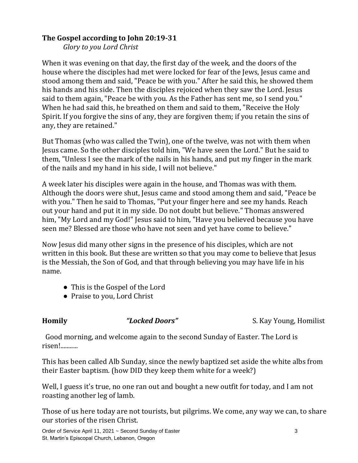## **The Gospel according to John 20:19-31**

*Glory to you Lord Christ*

When it was evening on that day, the first day of the week, and the doors of the house where the disciples had met were locked for fear of the Jews, Jesus came and stood among them and said, "Peace be with you." After he said this, he showed them his hands and his side. Then the disciples rejoiced when they saw the Lord. Jesus said to them again, "Peace be with you. As the Father has sent me, so I send you." When he had said this, he breathed on them and said to them, "Receive the Holy Spirit. If you forgive the sins of any, they are forgiven them; if you retain the sins of any, they are retained."

But Thomas (who was called the Twin), one of the twelve, was not with them when Jesus came. So the other disciples told him, "We have seen the Lord." But he said to them, "Unless I see the mark of the nails in his hands, and put my finger in the mark of the nails and my hand in his side, I will not believe."

A week later his disciples were again in the house, and Thomas was with them. Although the doors were shut, Jesus came and stood among them and said, "Peace be with you." Then he said to Thomas, "Put your finger here and see my hands. Reach out your hand and put it in my side. Do not doubt but believe." Thomas answered him, "My Lord and my God!" Jesus said to him, "Have you believed because you have seen me? Blessed are those who have not seen and yet have come to believe."

Now Jesus did many other signs in the presence of his disciples, which are not written in this book. But these are written so that you may come to believe that Jesus is the Messiah, the Son of God, and that through believing you may have life in his name.

- This is the Gospel of the Lord
- Praise to you, Lord Christ

**Homily** *"Locked Doors"* S. Kay Young, Homilist

 Good morning, and welcome again to the second Sunday of Easter. The Lord is risen!...........

This has been called Alb Sunday, since the newly baptized set aside the white albs from their Easter baptism. (how DID they keep them white for a week?)

Well, I guess it's true, no one ran out and bought a new outfit for today, and I am not roasting another leg of lamb.

Those of us here today are not tourists, but pilgrims. We come, any way we can, to share our stories of the risen Christ.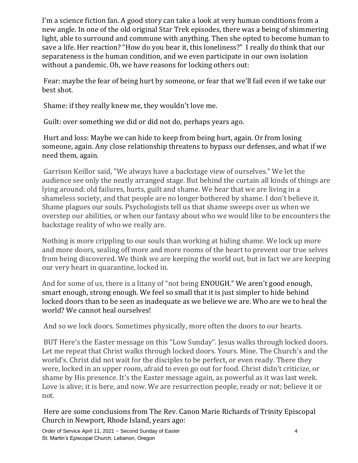I'm a science fiction fan. A good story can take a look at very human conditions from a new angle. In one of the old original Star Trek episodes, there was a being of shimmering light, able to surround and commune with anything. Then she opted to become human to save a life. Her reaction? "How do you bear it, this loneliness?" I really do think that our separateness is the human condition, and we even participate in our own isolation without a pandemic. Oh, we have reasons for locking others out:

Fear: maybe the fear of being hurt by someone, or fear that we'll fail even if we take our best shot.

Shame: if they really knew me, they wouldn't love me.

Guilt: over something we did or did not do, perhaps years ago.

Hurt and loss: Maybe we can hide to keep from being hurt, again. Or from losing someone, again. Any close relationship threatens to bypass our defenses, and what if we need them, again.

Garrison Keillor said, "We always have a backstage view of ourselves." We let the audience see only the neatly arranged stage. But behind the curtain all kinds of things are lying around: old failures, hurts, guilt and shame. We hear that we are living in a shameless society, and that people are no longer bothered by shame. I don't believe it. Shame plagues our souls. Psychologists tell us that shame sweeps over us when we overstep our abilities, or when our fantasy about who we would like to be encounters the backstage reality of who we really are.

Nothing is more crippling to our souls than working at hiding shame. We lock up more and more doors, sealing off more and more rooms of the heart to prevent our true selves from being discovered. We think we are keeping the world out, but in fact we are keeping our very heart in quarantine, locked in.

And for some of us, there is a litany of "not being ENOUGH." We aren't good enough, smart enough, strong enough. We feel so small that it is just simpler to hide behind locked doors than to be seen as inadequate as we believe we are. Who are we to heal the world? We cannot heal ourselves!

And so we lock doors. Sometimes physically, more often the doors to our hearts.

BUT Here's the Easter message on this "Low Sunday". Jesus walks through locked doors. Let me repeat that Christ walks through locked doors. Yours. Mine. The Church's and the world's. Christ did not wait for the disciples to be perfect, or even ready. There they were, locked in an upper room, afraid to even go out for food. Christ didn't criticize, or shame by His presence. It's the Easter message again, as powerful as it was last week. Love is alive; it is here, and now. We are resurrection people, ready or not; believe it or not.

Here are some conclusions from The Rev. Canon Marie Richards of Trinity Episcopal Church in Newport, Rhode Island, years ago: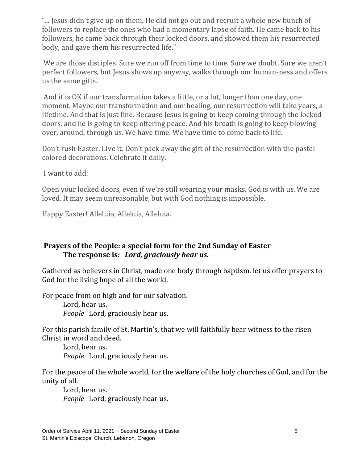"... Jesus didn't give up on them. He did not go out and recruit a whole new bunch of followers to replace the ones who had a momentary lapse of faith. He came back to his followers, he came back through their locked doors, and showed them his resurrected body, and gave them his resurrected life."

We are those disciples. Sure we run off from time to time. Sure we doubt. Sure we aren't perfect followers, but Jesus shows up anyway, walks through our human-ness and offers us the same gifts.

And it is OK if our transformation takes a little, or a lot, longer than one day, one moment. Maybe our transformation and our healing, our resurrection will take years, a lifetime. And that is just fine. Because Jesus is going to keep coming through the locked doors, and he is going to keep offering peace. And his breath is going to keep blowing over, around, through us. We have time. We have time to come back to life.

Don't rush Easter. Live it. Don't pack away the gift of the resurrection with the pastel colored decorations. Celebrate it daily.

I want to add:

Open your locked doors, even if we're still wearing your masks. God is with us. We are loved. It may seem unreasonable, but with God nothing is impossible.

Happy Easter! Alleluia, Alleluia, Alleluia.

## **Prayers of the People: a special form for the 2nd Sunday of Easter The response is***: Lord, graciously hear us.*

Gathered as believers in Christ, made one body through baptism, let us offer prayers to God for the living hope of all the world.

For peace from on high and for our salvation. Lord, hear us.

*People* Lord, graciously hear us.

For this parish family of St. Martin's, that we will faithfully bear witness to the risen Christ in word and deed.

Lord, hear us. *People* Lord, graciously hear us.

For the peace of the whole world, for the welfare of the holy churches of God, and for the unity of all.

Lord, hear us. *People* Lord, graciously hear us.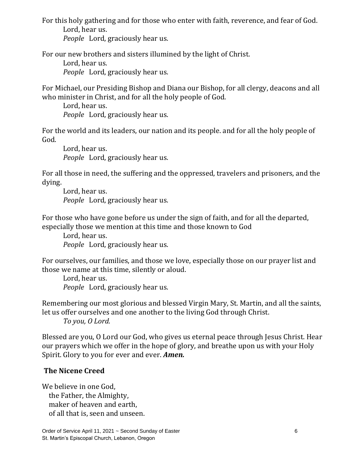For this holy gathering and for those who enter with faith, reverence, and fear of God. Lord, hear us.

*People* Lord, graciously hear us.

For our new brothers and sisters illumined by the light of Christ.

Lord, hear us.

*People* Lord, graciously hear us.

For Michael, our Presiding Bishop and Diana our Bishop, for all clergy, deacons and all who minister in Christ, and for all the holy people of God.

Lord, hear us. *People* Lord, graciously hear us.

For the world and its leaders, our nation and its people. and for all the holy people of God.

Lord, hear us. *People* Lord, graciously hear us.

For all those in need, the suffering and the oppressed, travelers and prisoners, and the dying.

Lord, hear us. *People* Lord, graciously hear us.

For those who have gone before us under the sign of faith, and for all the departed, especially those we mention at this time and those known to God

Lord, hear us.

*People* Lord, graciously hear us.

For ourselves, our families, and those we love, especially those on our prayer list and those we name at this time, silently or aloud.

Lord, hear us. *People* Lord, graciously hear us.

Remembering our most glorious and blessed Virgin Mary, St. Martin, and all the saints, let us offer ourselves and one another to the living God through Christ.

*To you, O Lord.*

Blessed are you, O Lord our God, who gives us eternal peace through Jesus Christ. Hear our prayers which we offer in the hope of glory, and breathe upon us with your Holy Spirit. Glory to you for ever and ever. *Amen.*

# **The Nicene Creed**

We believe in one God, the Father, the Almighty, maker of heaven and earth, of all that is, seen and unseen.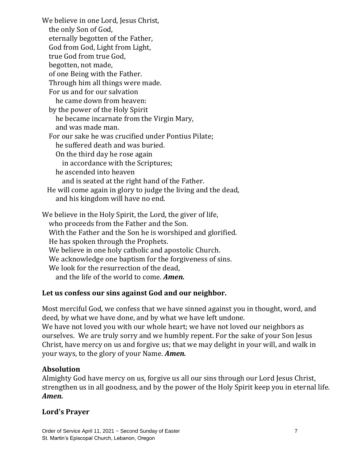We believe in one Lord, Jesus Christ, the only Son of God, eternally begotten of the Father, God from God, Light from Light, true God from true God, begotten, not made, of one Being with the Father. Through him all things were made. For us and for our salvation he came down from heaven: by the power of the Holy Spirit he became incarnate from the Virgin Mary, and was made man. For our sake he was crucified under Pontius Pilate; he suffered death and was buried. On the third day he rose again in accordance with the Scriptures; he ascended into heaven and is seated at the right hand of the Father. He will come again in glory to judge the living and the dead, and his kingdom will have no end. We believe in the Holy Spirit, the Lord, the giver of life, who proceeds from the Father and the Son. With the Father and the Son he is worshiped and glorified. He has spoken through the Prophets. We believe in one holy catholic and apostolic Church. We acknowledge one baptism for the forgiveness of sins. We look for the resurrection of the dead. and the life of the world to come. *Amen.*

### **Let us confess our sins against God and our neighbor.**

Most merciful God, we confess that we have sinned against you in thought, word, and deed, by what we have done, and by what we have left undone.

We have not loved you with our whole heart; we have not loved our neighbors as ourselves. We are truly sorry and we humbly repent. For the sake of your Son Jesus Christ, have mercy on us and forgive us; that we may delight in your will, and walk in your ways, to the glory of your Name. *Amen.*

## **Absolution**

Almighty God have mercy on us, forgive us all our sins through our Lord Jesus Christ, strengthen us in all goodness, and by the power of the Holy Spirit keep you in eternal life. *Amen.*

## **Lord's Prayer**